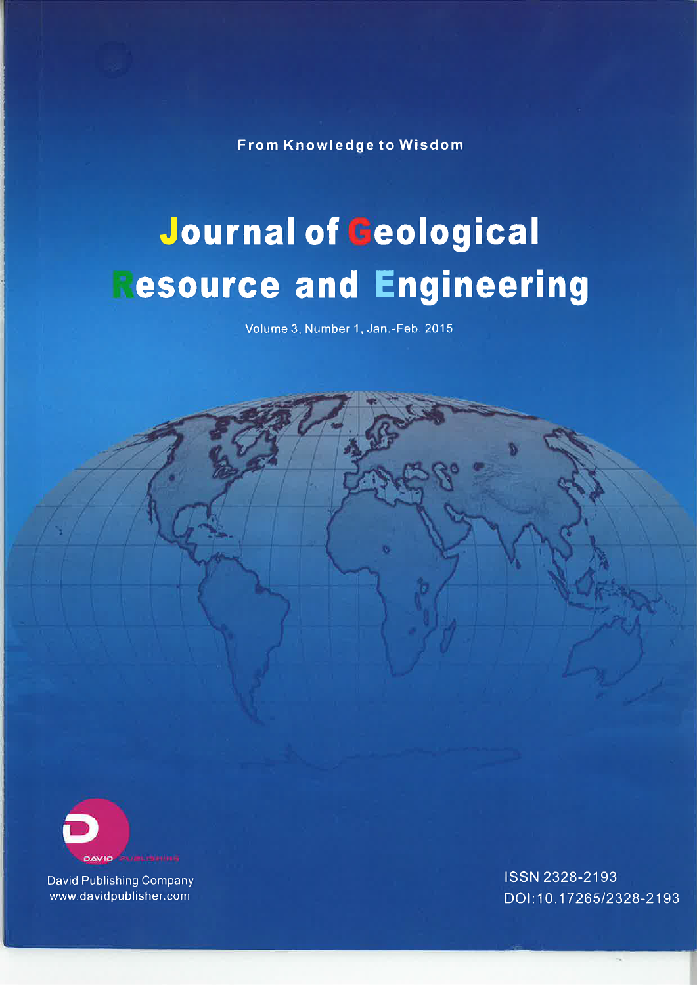From Knowledge to Wisdom

# Journal of Geological **esource and Engineering**

Volume 3, Number 1, Jan.-Feb. 2015



**David Publishing Company** www.davidpublisher.com

**ISSN 2328-2193** DOI:10.17265/2328-2193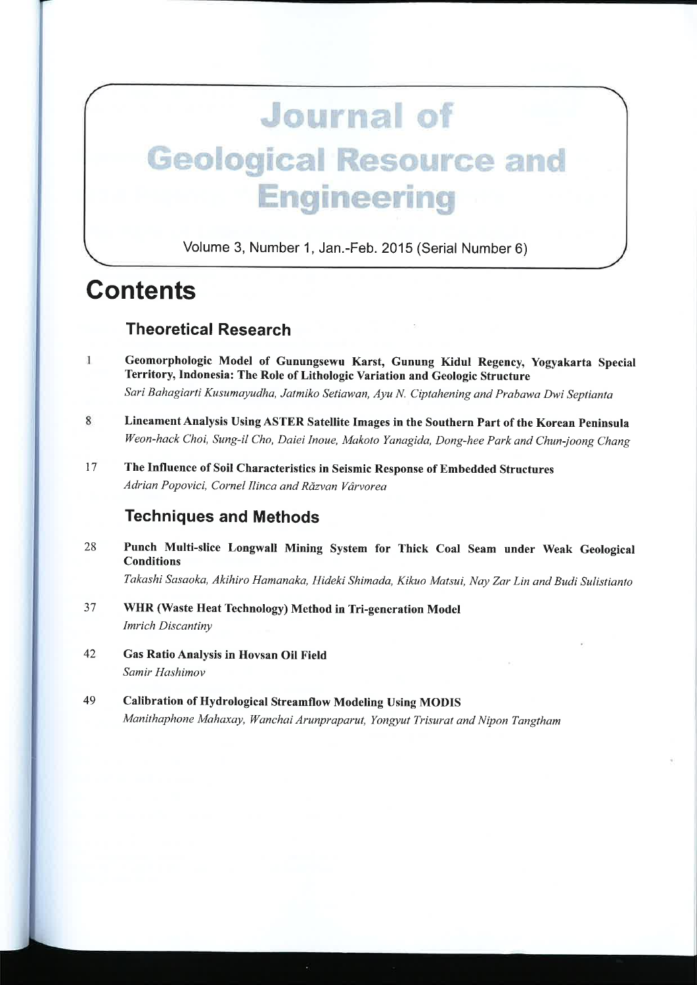## **Journal of Geological Resource and Engineering**

Volume 3, Number 1, Jan.-Feb. 2015 (Serial Number 6)

### **Contents**

#### **Theoretical Research**

- $\mathbf{1}$ Geomorphologic Model of Gunungsewu Karst, Gunung Kidul Regency, Yogyakarta Special Territory, Indonesia: The Role of Lithologic Variation and Geologic Structure Sari Bahagiarti Kusumayudha, Jatmiko Setiawan, Ayu N. Ciptahening and Prabawa Dwi Septianta
- $\overline{8}$ Lineament Analysis Using ASTER Satellite Images in the Southern Part of the Korean Peninsula Weon-hack Choi, Sung-il Cho, Daiei Inoue, Makoto Yanagida, Dong-hee Park and Chun-joong Chang
- $17$ The Influence of Soil Characteristics in Seismic Response of Embedded Structures Adrian Popovici, Cornel Ilinca and Răzvan Vârvorea

#### **Techniques and Methods**

28 Punch Multi-slice Longwall Mining System for Thick Coal Seam under Weak Geological **Conditions** 

Takashi Sasaoka, Akihiro Hamanaka, Hideki Shimada, Kikuo Matsui, Nay Zar Lin and Budi Sulistianto

- 37 WHR (Waste Heat Technology) Method in Tri-generation Model Imrich Discantiny
- 42 Gas Ratio Analysis in Hovsan Oil Field Samir Hashimov
- 49 **Calibration of Hydrological Streamflow Modeling Using MODIS** Manithaphone Mahaxay, Wanchai Arunpraparut, Yongyut Trisurat and Nipon Tangtham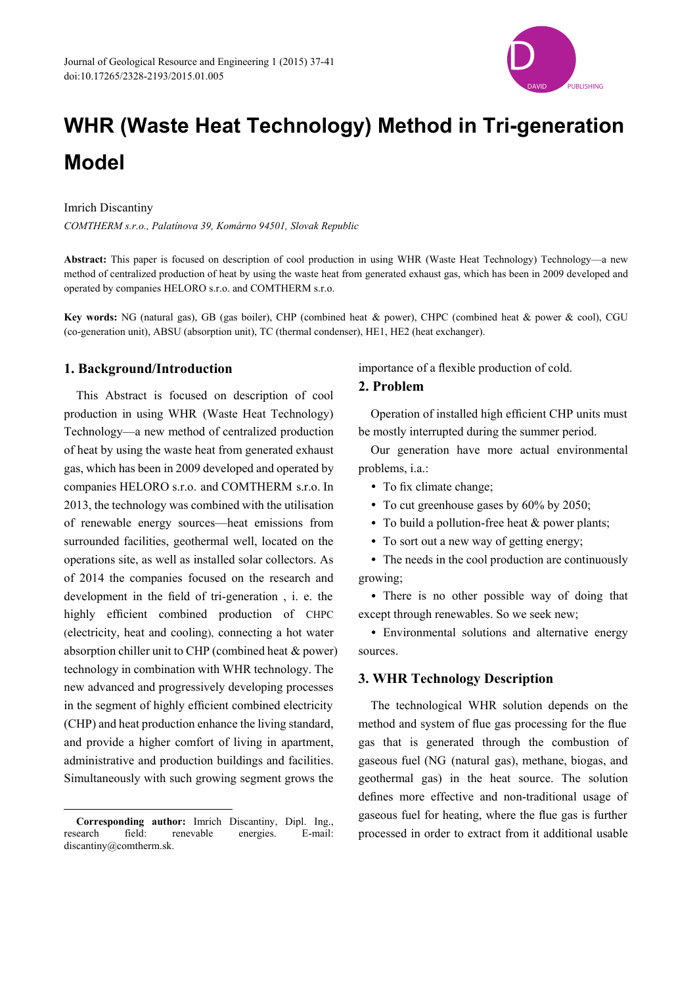

## **WHR (Waste Heat Technology) Method in Tri-generation Model**

#### Imrich Discantiny

*COMTHERM s.r.o., Palatínova 39, Komárno 94501, Slovak Republic* 

**Abstract:** This paper is focused on description of cool production in using WHR (Waste Heat Technology) Technology—a new method of centralized production of heat by using the waste heat from generated exhaust gas, which has been in 2009 developed and operated by companies HELORO s.r.o. and COMTHERM s.r.o.

**Key words:** NG (natural gas), GB (gas boiler), CHP (combined heat & power), CHPC (combined heat & power & cool), CGU (co-generation unit), ABSU (absorption unit), TC (thermal condenser), HE1, HE2 (heat exchanger).

#### **1. Background/Introduction**

This Abstract is focused on description of cool production in using WHR (Waste Heat Technology) Technology—a new method of centralized production of heat by using the waste heat from generated exhaust gas, which has been in 2009 developed and operated by companies HELORO s.r.o. and COMTHERM s.r.o. In 2013, the technology was combined with the utilisation of renewable energy sources—heat emissions from surrounded facilities, geothermal well, located on the operations site, as well as installed solar collectors. As of 2014 the companies focused on the research and development in the field of tri-generation , i. e. the highly efficient combined production of CHPC (electricity, heat and cooling), connecting a hot water absorption chiller unit to CHP (combined heat & power) technology in combination with WHR technology. The new advanced and progressively developing processes in the segment of highly efficient combined electricity (CHP) and heat production enhance the living standard, and provide a higher comfort of living in apartment, administrative and production buildings and facilities. Simultaneously with such growing segment grows the

-

#### importance of a flexible production of cold.

#### **2. Problem**

Operation of installed high efficient CHP units must be mostly interrupted during the summer period.

Our generation have more actual environmental problems, i.a.:

- To fix climate change:
- To cut greenhouse gases by 60% by 2050;
- To build a pollution-free heat & power plants;
- To sort out a new way of getting energy;

The needs in the cool production are continuously growing;

• There is no other possible way of doing that except through renewables. So we seek new;

Environmental solutions and alternative energy sources.

#### **3. WHR Technology Description**

The technological WHR solution depends on the method and system of flue gas processing for the flue gas that is generated through the combustion of gaseous fuel (NG (natural gas), methane, biogas, and geothermal gas) in the heat source. The solution defines more effective and non-traditional usage of gaseous fuel for heating, where the flue gas is further processed in order to extract from it additional usable

**Corresponding author:** Imrich Discantiny, Dipl. Ing., research field: renevable energies. E-mail: discantiny@comtherm.sk.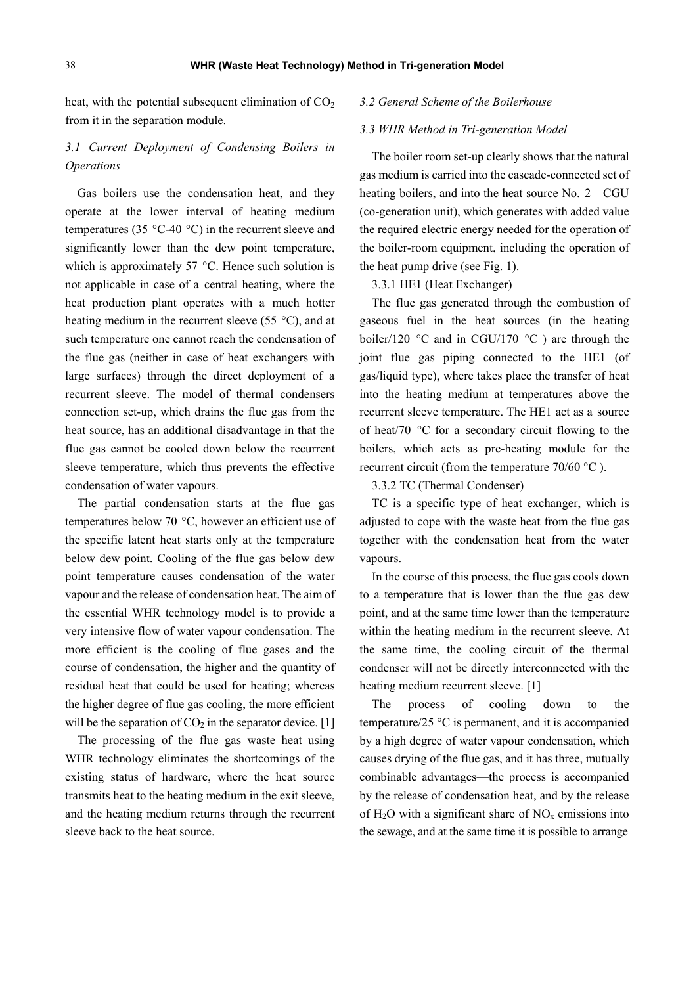heat, with the potential subsequent elimination of  $CO<sub>2</sub>$ from it in the separation module.

#### *3.1 Current Deployment of Condensing Boilers in Operations*

Gas boilers use the condensation heat, and they operate at the lower interval of heating medium temperatures (35 $\degree$ C-40 $\degree$ C) in the recurrent sleeve and significantly lower than the dew point temperature, which is approximately 57 °C. Hence such solution is not applicable in case of a central heating, where the heat production plant operates with a much hotter heating medium in the recurrent sleeve (55 °C), and at such temperature one cannot reach the condensation of the flue gas (neither in case of heat exchangers with large surfaces) through the direct deployment of a recurrent sleeve. The model of thermal condensers connection set-up, which drains the flue gas from the heat source, has an additional disadvantage in that the flue gas cannot be cooled down below the recurrent sleeve temperature, which thus prevents the effective condensation of water vapours.

The partial condensation starts at the flue gas temperatures below 70 °C, however an efficient use of the specific latent heat starts only at the temperature below dew point. Cooling of the flue gas below dew point temperature causes condensation of the water vapour and the release of condensation heat. The aim of the essential WHR technology model is to provide a very intensive flow of water vapour condensation. The more efficient is the cooling of flue gases and the course of condensation, the higher and the quantity of residual heat that could be used for heating; whereas the higher degree of flue gas cooling, the more efficient will be the separation of  $CO<sub>2</sub>$  in the separator device. [1]

The processing of the flue gas waste heat using WHR technology eliminates the shortcomings of the existing status of hardware, where the heat source transmits heat to the heating medium in the exit sleeve, and the heating medium returns through the recurrent sleeve back to the heat source.

#### *3.2 General Scheme of the Boilerhouse*

#### *3.3 WHR Method in Tri-generation Model*

The boiler room set-up clearly shows that the natural gas medium is carried into the cascade-connected set of heating boilers, and into the heat source No. 2—CGU (co-generation unit), which generates with added value the required electric energy needed for the operation of the boiler-room equipment, including the operation of the heat pump drive (see Fig. 1).

3.3.1 HE1 (Heat Exchanger)

The flue gas generated through the combustion of gaseous fuel in the heat sources (in the heating boiler/120  $\degree$ C and in CGU/170  $\degree$ C ) are through the joint flue gas piping connected to the HE1 (of gas/liquid type), where takes place the transfer of heat into the heating medium at temperatures above the recurrent sleeve temperature. The HE1 act as a source of heat/70 °C for a secondary circuit flowing to the boilers, which acts as pre-heating module for the recurrent circuit (from the temperature 70/60 °C ).

3.3.2 TC (Thermal Condenser)

TC is a specific type of heat exchanger, which is adjusted to cope with the waste heat from the flue gas together with the condensation heat from the water vapours.

In the course of this process, the flue gas cools down to a temperature that is lower than the flue gas dew point, and at the same time lower than the temperature within the heating medium in the recurrent sleeve. At the same time, the cooling circuit of the thermal condenser will not be directly interconnected with the heating medium recurrent sleeve. [1]

The process of cooling down to the temperature/25 °C is permanent, and it is accompanied by a high degree of water vapour condensation, which causes drying of the flue gas, and it has three, mutually combinable advantages—the process is accompanied by the release of condensation heat, and by the release of  $H_2O$  with a significant share of  $NO_x$  emissions into the sewage, and at the same time it is possible to arrange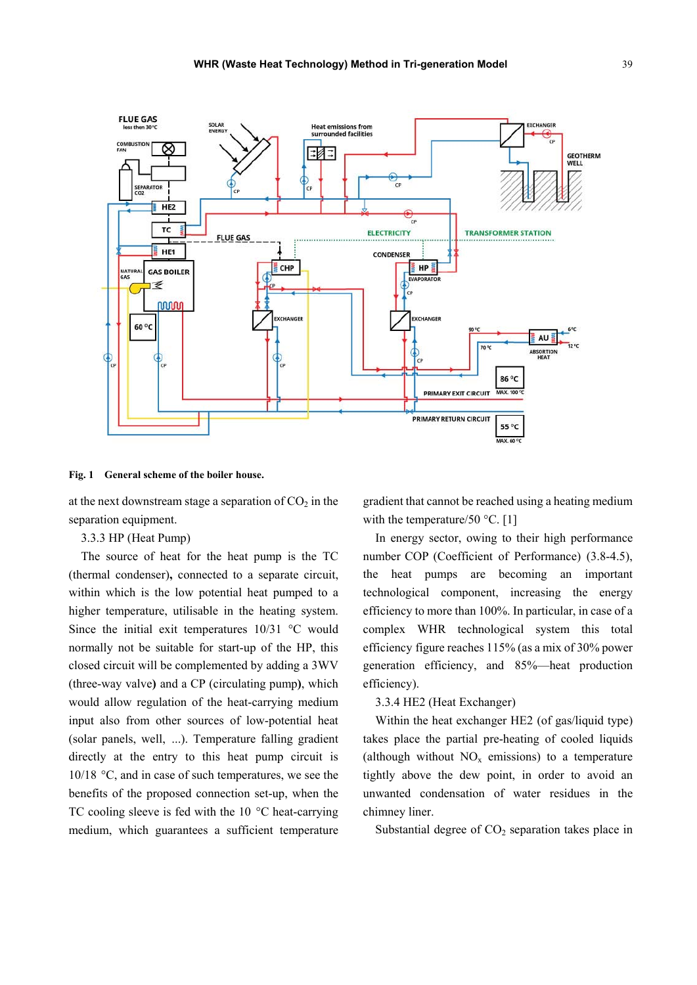

**Fig. 1 General scheme of the boiler house.** 

at the next downstream stage a separation of  $CO<sub>2</sub>$  in the separation equipment.

#### 3.3.3 HP (Heat Pump)

The source of heat for the heat pump is the TC (thermal condenser)**,** connected to a separate circuit, within which is the low potential heat pumped to a higher temperature, utilisable in the heating system. Since the initial exit temperatures 10/31 °C would normally not be suitable for start-up of the HP, this closed circuit will be complemented by adding a 3WV (three-way valve**)** and a CP (circulating pump**)**, which would allow regulation of the heat-carrying medium input also from other sources of low-potential heat (solar panels, well, ...). Temperature falling gradient directly at the entry to this heat pump circuit is 10/18 °C, and in case of such temperatures, we see the benefits of the proposed connection set-up, when the TC cooling sleeve is fed with the 10 °C heat-carrying medium, which guarantees a sufficient temperature

gradient that cannot be reached using a heating medium with the temperature/50  $^{\circ}$ C. [1]

In energy sector, owing to their high performance number COP (Coefficient of Performance) (3.8-4.5), the heat pumps are becoming an important technological component, increasing the energy efficiency to more than 100%. In particular, in case of a complex WHR technological system this total efficiency figure reaches 115% (as a mix of 30% power generation efficiency, and 85%—heat production efficiency).

#### 3.3.4 HE2 (Heat Exchanger)

Within the heat exchanger HE2 (of gas/liquid type) takes place the partial pre-heating of cooled liquids (although without  $NO<sub>x</sub>$  emissions) to a temperature tightly above the dew point, in order to avoid an unwanted condensation of water residues in the chimney liner.

Substantial degree of  $CO<sub>2</sub>$  separation takes place in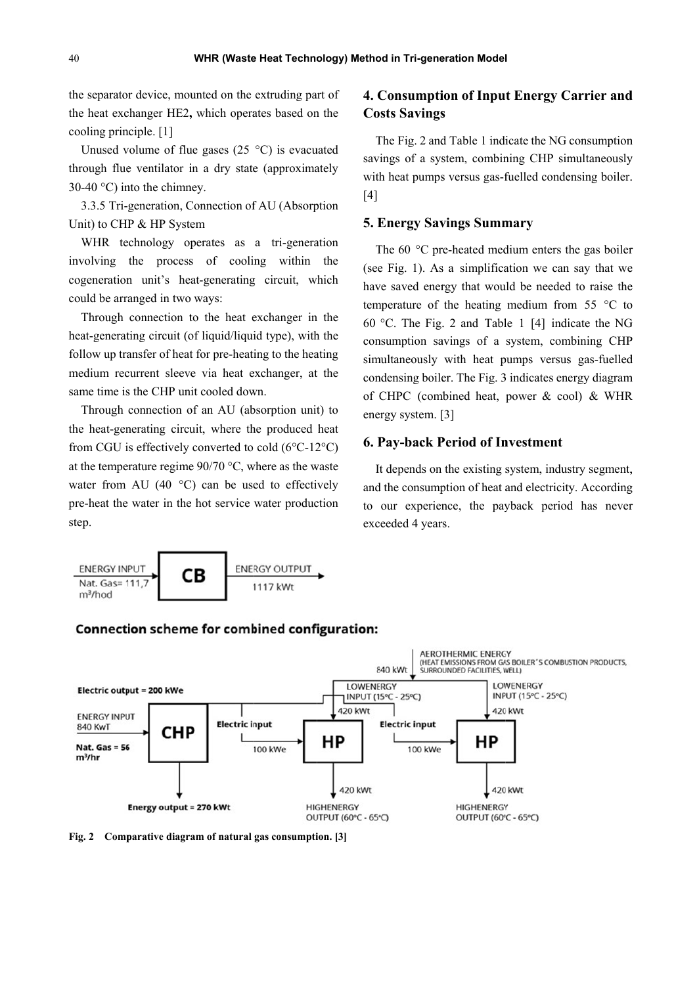the separator device, mounted on the extruding part of the heat exchanger HE2, which operates based on the cooling principle. [1]

Unused volume of flue gases  $(25 \degree C)$  is evacuated through flue ventilator in a dry state (approximately 30-40  $^{\circ}$ C) into the chimney.

3.3.5 Tri-generation, Connection of AU (Absorption Unit) to CHP & HP System

WHR technology operates as a tri-generation involving the process of cooling within the cogeneration unit's heat-generating circuit, which could be arranged in two ways:

Through connection to the heat exchanger in the heat-generating circuit (of liquid/liquid type), with the follow up transfer of heat for pre-heating to the heating medium recurrent sleeve via heat exchanger, at the same time is the CHP unit cooled down.

Through connection of an AU (absorption unit) to the heat-generating circuit, where the produced heat from CGU is effectively converted to cold  $(6^{\circ}C - 12^{\circ}C)$ at the temperature regime  $90/70$  °C, where as the waste water from AU (40 $\degree$ C) can be used to effectively pre-heat the water in the hot service water production step.



#### 4. Consumption of Input Energy Carrier and **Costs Savings**

The Fig. 2 and Table 1 indicate the NG consumption savings of a system, combining CHP simultaneously with heat pumps versus gas-fuelled condensing boiler.  $[4]$ 

#### **5. Energy Savings Summary**

The 60  $^{\circ}$ C pre-heated medium enters the gas boiler (see Fig. 1). As a simplification we can say that we have saved energy that would be needed to raise the temperature of the heating medium from  $55^{\circ}$ C to 60 °C. The Fig. 2 and Table 1 [4] indicate the NG consumption savings of a system, combining CHP simultaneously with heat pumps versus gas-fuelled condensing boiler. The Fig. 3 indicates energy diagram of CHPC (combined heat, power  $\&$  cool)  $\&$  WHR energy system. [3]

#### **6. Pav-back Period of Investment**

It depends on the existing system, industry segment. and the consumption of heat and electricity. According to our experience, the payback period has never exceeded 4 years.



#### **Connection scheme for combined configuration:**

Fig. 2 Comparative diagram of natural gas consumption. [3]